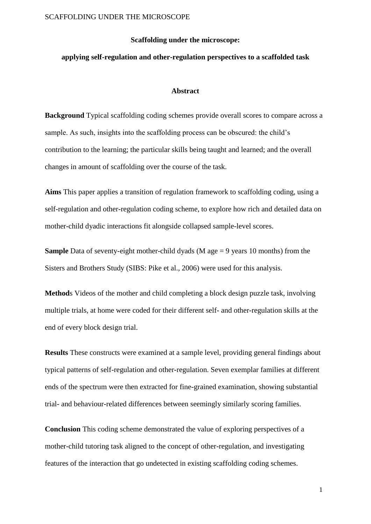#### **Scaffolding under the microscope:**

#### **applying self-regulation and other-regulation perspectives to a scaffolded task**

#### **Abstract**

**Background** Typical scaffolding coding schemes provide overall scores to compare across a sample. As such, insights into the scaffolding process can be obscured: the child's contribution to the learning; the particular skills being taught and learned; and the overall changes in amount of scaffolding over the course of the task.

**Aims** This paper applies a transition of regulation framework to scaffolding coding, using a self-regulation and other-regulation coding scheme, to explore how rich and detailed data on mother-child dyadic interactions fit alongside collapsed sample-level scores.

**Sample** Data of seventy-eight mother-child dyads (M age  $= 9$  years 10 months) from the Sisters and Brothers Study (SIBS: Pike et al., 2006) were used for this analysis.

**Method**s Videos of the mother and child completing a block design puzzle task, involving multiple trials, at home were coded for their different self- and other-regulation skills at the end of every block design trial.

**Results** These constructs were examined at a sample level, providing general findings about typical patterns of self-regulation and other-regulation. Seven exemplar families at different ends of the spectrum were then extracted for fine-grained examination, showing substantial trial- and behaviour-related differences between seemingly similarly scoring families.

**Conclusion** This coding scheme demonstrated the value of exploring perspectives of a mother-child tutoring task aligned to the concept of other-regulation, and investigating features of the interaction that go undetected in existing scaffolding coding schemes.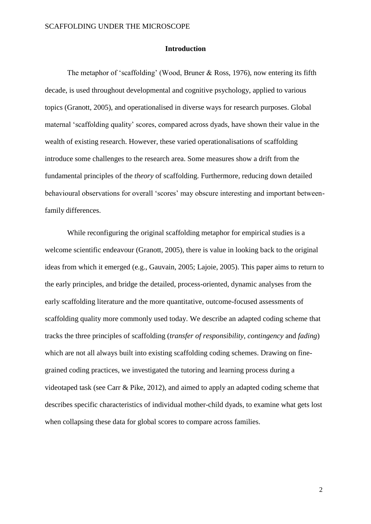#### **Introduction**

The metaphor of 'scaffolding' (Wood, Bruner & Ross, 1976), now entering its fifth decade, is used throughout developmental and cognitive psychology, applied to various topics (Granott, 2005), and operationalised in diverse ways for research purposes. Global maternal 'scaffolding quality' scores, compared across dyads, have shown their value in the wealth of existing research. However, these varied operationalisations of scaffolding introduce some challenges to the research area. Some measures show a drift from the fundamental principles of the *theory* of scaffolding. Furthermore, reducing down detailed behavioural observations for overall 'scores' may obscure interesting and important betweenfamily differences.

While reconfiguring the original scaffolding metaphor for empirical studies is a welcome scientific endeavour (Granott, 2005), there is value in looking back to the original ideas from which it emerged (e.g., Gauvain, 2005; Lajoie, 2005). This paper aims to return to the early principles, and bridge the detailed, process-oriented, dynamic analyses from the early scaffolding literature and the more quantitative, outcome-focused assessments of scaffolding quality more commonly used today. We describe an adapted coding scheme that tracks the three principles of scaffolding (*transfer of responsibility*, *contingency* and *fading*) which are not all always built into existing scaffolding coding schemes. Drawing on finegrained coding practices, we investigated the tutoring and learning process during a videotaped task (see Carr & Pike, 2012), and aimed to apply an adapted coding scheme that describes specific characteristics of individual mother-child dyads, to examine what gets lost when collapsing these data for global scores to compare across families.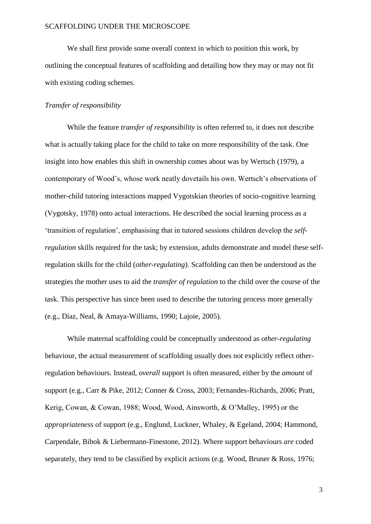We shall first provide some overall context in which to position this work, by outlining the conceptual features of scaffolding and detailing how they may or may not fit with existing coding schemes.

### *Transfer of responsibility*

While the feature *transfer of responsibility* is often referred to, it does not describe what is actually taking place for the child to take on more responsibility of the task. One insight into how enables this shift in ownership comes about was by Wertsch (1979), a contemporary of Wood's, whose work neatly dovetails his own. Wertsch's observations of mother-child tutoring interactions mapped Vygotskian theories of socio-cognitive learning (Vygotsky, 1978) onto actual interactions. He described the social learning process as a 'transition of regulation', emphasising that in tutored sessions children develop the *selfregulation* skills required for the task; by extension, adults demonstrate and model these selfregulation skills for the child (*other-regulating*). Scaffolding can then be understood as the strategies the mother uses to aid the *transfer of regulation* to the child over the course of the task. This perspective has since been used to describe the tutoring process more generally (e.g., Díaz, Neal, & Amaya-Williams, 1990; Lajoie, 2005).

While maternal scaffolding could be conceptually understood as *other-regulating*  behaviour, the actual measurement of scaffolding usually does not explicitly reflect otherregulation behaviours. Instead, *overall* support is often measured, either by the *amount* of support (e.g., Carr & Pike, 2012; Conner & Cross, 2003; Fernandes-Richards, 2006; Pratt, Kerig, Cowan, & Cowan, 1988; Wood, Wood, Ainsworth, & O'Malley, 1995) or the *appropriateness* of support (e.g., Englund, Luckner, Whaley, & Egeland, 2004; Hammond, Carpendale, Bibok & Liebermann-Finestone, 2012). Where support behaviours *are* coded separately, they tend to be classified by explicit actions (e.g. Wood, Bruner & Ross, 1976;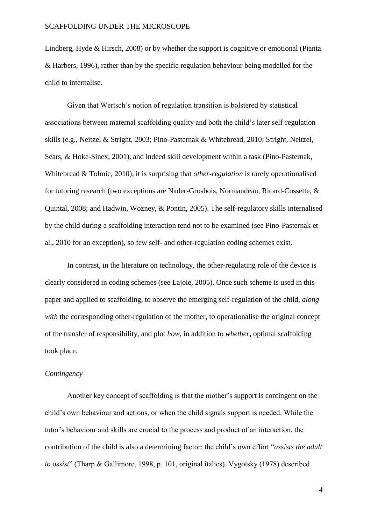Lindberg, Hyde & Hirsch, 2008) or by whether the support is cognitive or emotional (Pianta & Harbers, 1996), rather than by the specific regulation behaviour being modelled for the child to internalise.

Given that Wertsch's notion of regulation transition is bolstered by statistical associations between maternal scaffolding quality and both the child's later self-regulation skills (e.g., Neitzel & Stright, 2003; Pino-Pasternak & Whitebread, 2010; Stright, Neitzel, Sears, & Hoke-Sinex, 2001), and indeed skill development within a task (Pino-Pasternak, Whitebread & Tolmie, 2010), it is surprising that *other-regulation* is rarely operationalised for tutoring research (two exceptions are Nader-Grosbois, Normandeau, Ricard-Cossette, & Quintal, 2008; and Hadwin, Wozney, & Pontin, 2005). The self-regulatory skills internalised by the child during a scaffolding interaction tend not to be examined (see Pino-Pasternak et al., 2010 for an exception), so few self- and other-regulation coding schemes exist.

In contrast, in the literature on technology, the other-regulating role of the device is clearly considered in coding schemes (see Lajoie, 2005). Once such scheme is used in this paper and applied to scaffolding, to observe the emerging self-regulation of the child, *along with* the corresponding other-regulation of the mother, to operationalise the original concept of the transfer of responsibility, and plot *how*, in addition to *whether*, optimal scaffolding took place.

#### *Contingency*

Another key concept of scaffolding is that the mother's support is contingent on the child's own behaviour and actions, or when the child signals support is needed. While the tutor's behaviour and skills are crucial to the process and product of an interaction, the contribution of the child is also a determining factor: the child's own effort "*assists the adult to assist*" (Tharp & Gallimore, 1998, p. 101, original italics). Vygotsky (1978) described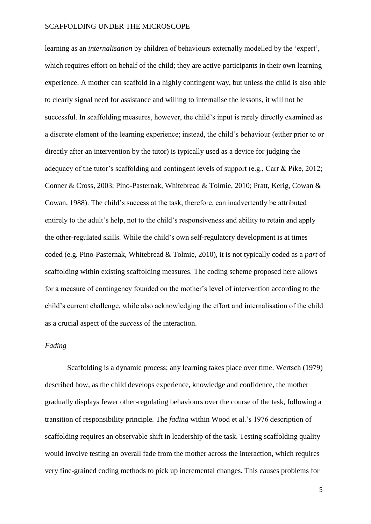learning as an *internalisation* by children of behaviours externally modelled by the 'expert', which requires effort on behalf of the child; they are active participants in their own learning experience. A mother can scaffold in a highly contingent way, but unless the child is also able to clearly signal need for assistance and willing to internalise the lessons, it will not be successful. In scaffolding measures, however, the child's input is rarely directly examined as a discrete element of the learning experience; instead, the child's behaviour (either prior to or directly after an intervention by the tutor) is typically used as a device for judging the adequacy of the tutor's scaffolding and contingent levels of support (e.g., Carr & Pike, 2012; Conner & Cross, 2003; Pino-Pasternak, Whitebread & Tolmie, 2010; Pratt, Kerig, Cowan & Cowan, 1988). The child's success at the task, therefore, can inadvertently be attributed entirely to the adult's help, not to the child's responsiveness and ability to retain and apply the other-regulated skills. While the child's own self-regulatory development is at times coded (e.g. Pino-Pasternak, Whitebread & Tolmie, 2010), it is not typically coded as a *part* of scaffolding within existing scaffolding measures. The coding scheme proposed here allows for a measure of contingency founded on the mother's level of intervention according to the child's current challenge, while also acknowledging the effort and internalisation of the child as a crucial aspect of the *success* of the interaction.

### *Fading*

Scaffolding is a dynamic process; any learning takes place over time. Wertsch (1979) described how, as the child develops experience, knowledge and confidence, the mother gradually displays fewer other-regulating behaviours over the course of the task, following a transition of responsibility principle. The *fading* within Wood et al.'s 1976 description of scaffolding requires an observable shift in leadership of the task. Testing scaffolding quality would involve testing an overall fade from the mother across the interaction, which requires very fine-grained coding methods to pick up incremental changes. This causes problems for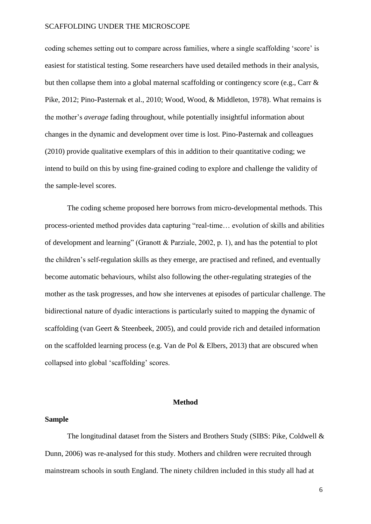coding schemes setting out to compare across families, where a single scaffolding 'score' is easiest for statistical testing. Some researchers have used detailed methods in their analysis, but then collapse them into a global maternal scaffolding or contingency score (e.g., Carr & Pike, 2012; Pino-Pasternak et al., 2010; Wood, Wood, & Middleton, 1978). What remains is the mother's *average* fading throughout, while potentially insightful information about changes in the dynamic and development over time is lost. Pino-Pasternak and colleagues (2010) provide qualitative exemplars of this in addition to their quantitative coding; we intend to build on this by using fine-grained coding to explore and challenge the validity of the sample-level scores.

The coding scheme proposed here borrows from micro-developmental methods. This process-oriented method provides data capturing "real-time… evolution of skills and abilities of development and learning" (Granott & Parziale, 2002, p. 1), and has the potential to plot the children's self-regulation skills as they emerge, are practised and refined, and eventually become automatic behaviours, whilst also following the other-regulating strategies of the mother as the task progresses, and how she intervenes at episodes of particular challenge. The bidirectional nature of dyadic interactions is particularly suited to mapping the dynamic of scaffolding (van Geert & Steenbeek, 2005), and could provide rich and detailed information on the scaffolded learning process (e.g. Van de Pol & Elbers, 2013) that are obscured when collapsed into global 'scaffolding' scores.

### **Method**

#### **Sample**

The longitudinal dataset from the Sisters and Brothers Study (SIBS: Pike, Coldwell & Dunn, 2006) was re-analysed for this study. Mothers and children were recruited through mainstream schools in south England. The ninety children included in this study all had at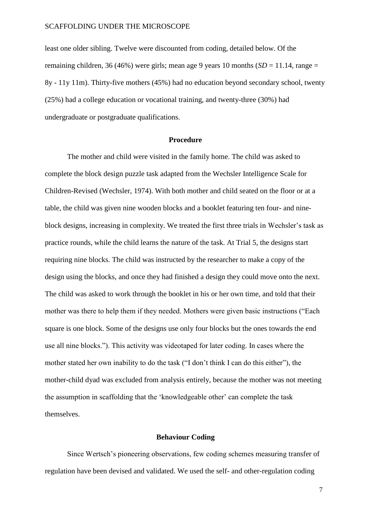least one older sibling. Twelve were discounted from coding, detailed below. Of the remaining children, 36 (46%) were girls; mean age 9 years 10 months  $(SD = 11.14$ , range = 8y - 11y 11m). Thirty-five mothers (45%) had no education beyond secondary school, twenty (25%) had a college education or vocational training, and twenty-three (30%) had undergraduate or postgraduate qualifications.

#### **Procedure**

The mother and child were visited in the family home. The child was asked to complete the block design puzzle task adapted from the Wechsler Intelligence Scale for Children-Revised (Wechsler, 1974). With both mother and child seated on the floor or at a table, the child was given nine wooden blocks and a booklet featuring ten four- and nineblock designs, increasing in complexity. We treated the first three trials in Wechsler's task as practice rounds, while the child learns the nature of the task. At Trial 5, the designs start requiring nine blocks. The child was instructed by the researcher to make a copy of the design using the blocks, and once they had finished a design they could move onto the next. The child was asked to work through the booklet in his or her own time, and told that their mother was there to help them if they needed. Mothers were given basic instructions ("Each square is one block. Some of the designs use only four blocks but the ones towards the end use all nine blocks."). This activity was videotaped for later coding. In cases where the mother stated her own inability to do the task ("I don't think I can do this either"), the mother-child dyad was excluded from analysis entirely, because the mother was not meeting the assumption in scaffolding that the 'knowledgeable other' can complete the task themselves.

#### **Behaviour Coding**

Since Wertsch's pioneering observations, few coding schemes measuring transfer of regulation have been devised and validated. We used the self- and other-regulation coding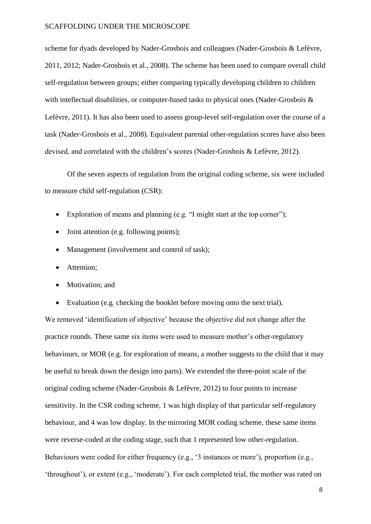scheme for dyads developed by Nader-Grosbois and colleagues (Nader-Grosbois & Lefèvre, 2011, 2012; Nader-Grosbois et al., 2008). The scheme has been used to compare overall child self-regulation between groups; either comparing typically developing children to children with intellectual disabilities, or computer-based tasks to physical ones (Nader-Grosbois & Lefèvre, 2011). It has also been used to assess group-level self-regulation over the course of a task (Nader-Grosbois et al., 2008). Equivalent parental other-regulation scores have also been devised, and correlated with the children's scores (Nader-Grosbois & Lefèvre, 2012).

Of the seven aspects of regulation from the original coding scheme, six were included to measure child self-regulation (CSR):

- Exploration of means and planning (e.g. "I might start at the top corner");
- Joint attention (e.g. following points);
- Management (involvement and control of task);
- Attention;
- Motivation; and
- Evaluation (e.g. checking the booklet before moving onto the next trial).

We removed 'identification of objective' because the objective did not change after the practice rounds. These same six items were used to measure mother's other-regulatory behaviours, or MOR (e.g. for exploration of means, a mother suggests to the child that it may be useful to break down the design into parts). We extended the three-point scale of the original coding scheme (Nader-Grosbois & Lefèvre, 2012) to four points to increase sensitivity. In the CSR coding scheme, 1 was high display of that particular self-regulatory behaviour, and 4 was low display. In the mirroring MOR coding scheme, these same items were reverse-coded at the coding stage, such that 1 represented low other-regulation. Behaviours were coded for either frequency (e.g., '3 instances or more'), proportion (e.g., 'throughout'), or extent (e.g., 'moderate'). For each completed trial, the mother was rated on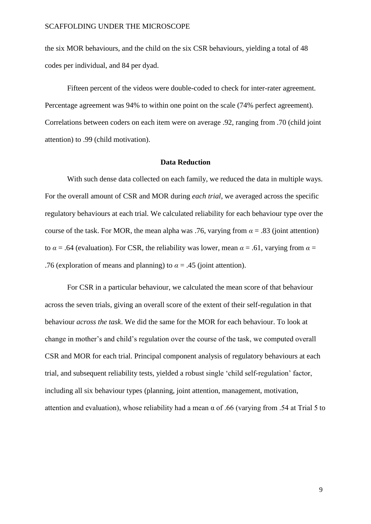the six MOR behaviours, and the child on the six CSR behaviours, yielding a total of 48 codes per individual, and 84 per dyad.

Fifteen percent of the videos were double-coded to check for inter-rater agreement. Percentage agreement was 94% to within one point on the scale (74% perfect agreement). Correlations between coders on each item were on average .92, ranging from .70 (child joint attention) to .99 (child motivation).

### **Data Reduction**

With such dense data collected on each family, we reduced the data in multiple ways. For the overall amount of CSR and MOR during *each trial*, we averaged across the specific regulatory behaviours at each trial. We calculated reliability for each behaviour type over the course of the task. For MOR, the mean alpha was .76, varying from  $\alpha = .83$  (joint attention) to  $\alpha$  = .64 (evaluation). For CSR, the reliability was lower, mean  $\alpha$  = .61, varying from  $\alpha$  = .76 (exploration of means and planning) to  $\alpha = .45$  (joint attention).

For CSR in a particular behaviour, we calculated the mean score of that behaviour across the seven trials, giving an overall score of the extent of their self-regulation in that behaviour *across the task*. We did the same for the MOR for each behaviour. To look at change in mother's and child's regulation over the course of the task, we computed overall CSR and MOR for each trial. Principal component analysis of regulatory behaviours at each trial, and subsequent reliability tests, yielded a robust single 'child self-regulation' factor, including all six behaviour types (planning, joint attention, management, motivation, attention and evaluation), whose reliability had a mean  $\alpha$  of .66 (varying from .54 at Trial 5 to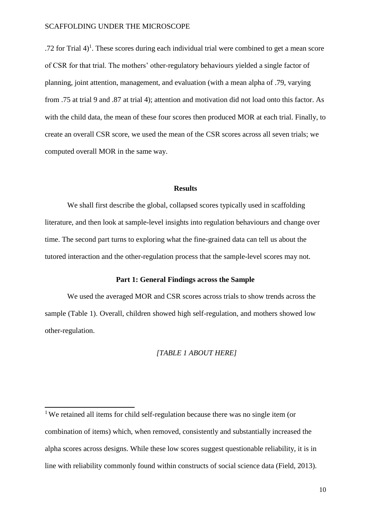.72 for Trial  $4$ <sup>1</sup>. These scores during each individual trial were combined to get a mean score of CSR for that trial. The mothers' other-regulatory behaviours yielded a single factor of planning, joint attention, management, and evaluation (with a mean alpha of .79, varying from .75 at trial 9 and .87 at trial 4); attention and motivation did not load onto this factor. As with the child data, the mean of these four scores then produced MOR at each trial. Finally, to create an overall CSR score, we used the mean of the CSR scores across all seven trials; we computed overall MOR in the same way.

### **Results**

We shall first describe the global, collapsed scores typically used in scaffolding literature, and then look at sample-level insights into regulation behaviours and change over time. The second part turns to exploring what the fine-grained data can tell us about the tutored interaction and the other-regulation process that the sample-level scores may not.

#### **Part 1: General Findings across the Sample**

We used the averaged MOR and CSR scores across trials to show trends across the sample (Table 1). Overall, children showed high self-regulation, and mothers showed low other-regulation.

#### *[TABLE 1 ABOUT HERE]*

<sup>&</sup>lt;sup>1</sup>We retained all items for child self-regulation because there was no single item (or combination of items) which, when removed, consistently and substantially increased the alpha scores across designs. While these low scores suggest questionable reliability, it is in line with reliability commonly found within constructs of social science data (Field, 2013).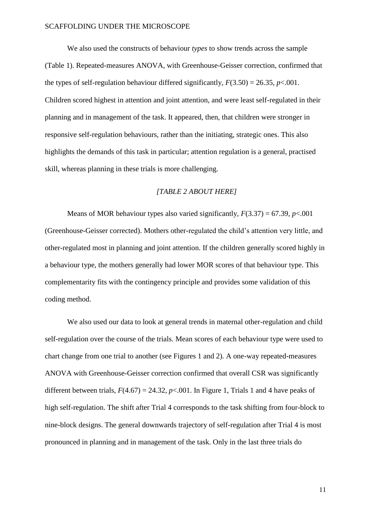We also used the constructs of behaviour *types* to show trends across the sample (Table 1). Repeated-measures ANOVA, with Greenhouse-Geisser correction, confirmed that the types of self-regulation behaviour differed significantly,  $F(3.50) = 26.35$ ,  $p < .001$ . Children scored highest in attention and joint attention, and were least self-regulated in their planning and in management of the task. It appeared, then, that children were stronger in responsive self-regulation behaviours, rather than the initiating, strategic ones. This also highlights the demands of this task in particular; attention regulation is a general, practised skill, whereas planning in these trials is more challenging.

### *[TABLE 2 ABOUT HERE]*

Means of MOR behaviour types also varied significantly,  $F(3.37) = 67.39$ ,  $p < .001$ (Greenhouse-Geisser corrected). Mothers other-regulated the child's attention very little, and other-regulated most in planning and joint attention. If the children generally scored highly in a behaviour type, the mothers generally had lower MOR scores of that behaviour type. This complementarity fits with the contingency principle and provides some validation of this coding method.

We also used our data to look at general trends in maternal other-regulation and child self-regulation over the course of the trials. Mean scores of each behaviour type were used to chart change from one trial to another (see Figures 1 and 2). A one-way repeated-measures ANOVA with Greenhouse-Geisser correction confirmed that overall CSR was significantly different between trials,  $F(4.67) = 24.32$ ,  $p<.001$ . In Figure 1, Trials 1 and 4 have peaks of high self-regulation. The shift after Trial 4 corresponds to the task shifting from four-block to nine-block designs. The general downwards trajectory of self-regulation after Trial 4 is most pronounced in planning and in management of the task. Only in the last three trials do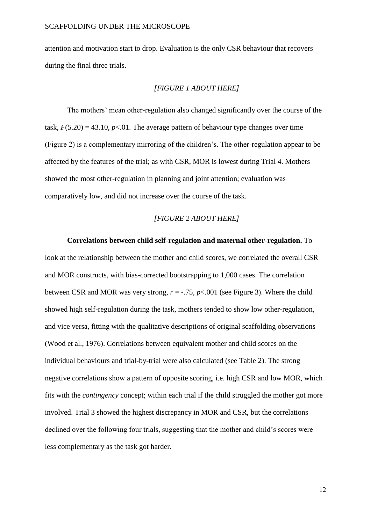attention and motivation start to drop. Evaluation is the only CSR behaviour that recovers during the final three trials.

### *[FIGURE 1 ABOUT HERE]*

The mothers' mean other-regulation also changed significantly over the course of the task,  $F(5.20) = 43.10$ ,  $p<0.01$ . The average pattern of behaviour type changes over time (Figure 2) is a complementary mirroring of the children's. The other-regulation appear to be affected by the features of the trial; as with CSR, MOR is lowest during Trial 4. Mothers showed the most other-regulation in planning and joint attention; evaluation was comparatively low, and did not increase over the course of the task.

#### *[FIGURE 2 ABOUT HERE]*

#### **Correlations between child self-regulation and maternal other-regulation.** To

look at the relationship between the mother and child scores, we correlated the overall CSR and MOR constructs, with bias-corrected bootstrapping to 1,000 cases. The correlation between CSR and MOR was very strong,  $r = -0.75$ ,  $p < 0.001$  (see Figure 3). Where the child showed high self-regulation during the task, mothers tended to show low other-regulation, and vice versa, fitting with the qualitative descriptions of original scaffolding observations (Wood et al., 1976). Correlations between equivalent mother and child scores on the individual behaviours and trial-by-trial were also calculated (see Table 2). The strong negative correlations show a pattern of opposite scoring, i.e. high CSR and low MOR, which fits with the *contingency* concept; within each trial if the child struggled the mother got more involved. Trial 3 showed the highest discrepancy in MOR and CSR, but the correlations declined over the following four trials, suggesting that the mother and child's scores were less complementary as the task got harder.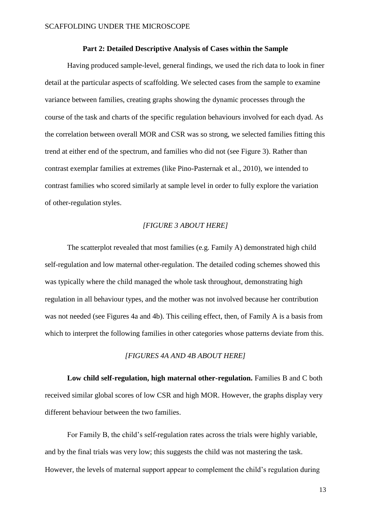#### **Part 2: Detailed Descriptive Analysis of Cases within the Sample**

Having produced sample-level, general findings, we used the rich data to look in finer detail at the particular aspects of scaffolding. We selected cases from the sample to examine variance between families, creating graphs showing the dynamic processes through the course of the task and charts of the specific regulation behaviours involved for each dyad. As the correlation between overall MOR and CSR was so strong, we selected families fitting this trend at either end of the spectrum, and families who did not (see Figure 3). Rather than contrast exemplar families at extremes (like Pino-Pasternak et al., 2010), we intended to contrast families who scored similarly at sample level in order to fully explore the variation of other-regulation styles.

### *[FIGURE 3 ABOUT HERE]*

The scatterplot revealed that most families (e.g. Family A) demonstrated high child self-regulation and low maternal other-regulation. The detailed coding schemes showed this was typically where the child managed the whole task throughout, demonstrating high regulation in all behaviour types, and the mother was not involved because her contribution was not needed (see Figures 4a and 4b). This ceiling effect, then, of Family A is a basis from which to interpret the following families in other categories whose patterns deviate from this.

#### *[FIGURES 4A AND 4B ABOUT HERE]*

Low child self-regulation, high maternal other-regulation. Families B and C both received similar global scores of low CSR and high MOR. However, the graphs display very different behaviour between the two families.

For Family B, the child's self-regulation rates across the trials were highly variable, and by the final trials was very low; this suggests the child was not mastering the task. However, the levels of maternal support appear to complement the child's regulation during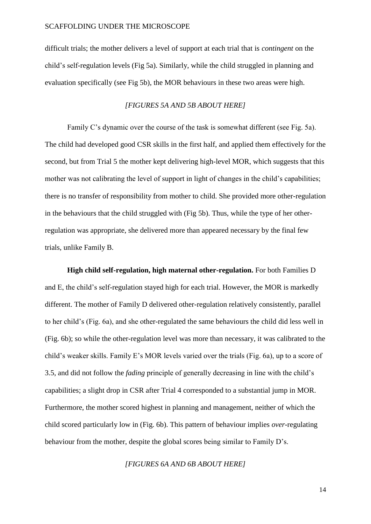difficult trials; the mother delivers a level of support at each trial that is *contingent* on the child's self-regulation levels (Fig 5a). Similarly, while the child struggled in planning and evaluation specifically (see Fig 5b), the MOR behaviours in these two areas were high.

### *[FIGURES 5A AND 5B ABOUT HERE]*

Family C's dynamic over the course of the task is somewhat different (see Fig. 5a). The child had developed good CSR skills in the first half, and applied them effectively for the second, but from Trial 5 the mother kept delivering high-level MOR, which suggests that this mother was not calibrating the level of support in light of changes in the child's capabilities; there is no transfer of responsibility from mother to child. She provided more other-regulation in the behaviours that the child struggled with (Fig 5b). Thus, while the type of her otherregulation was appropriate, she delivered more than appeared necessary by the final few trials, unlike Family B.

**High child self-regulation, high maternal other-regulation.** For both Families D and E, the child's self-regulation stayed high for each trial. However, the MOR is markedly different. The mother of Family D delivered other-regulation relatively consistently, parallel to her child's (Fig. 6a), and she other-regulated the same behaviours the child did less well in (Fig. 6b); so while the other-regulation level was more than necessary, it was calibrated to the child's weaker skills. Family E's MOR levels varied over the trials (Fig. 6a), up to a score of 3.5, and did not follow the *fading* principle of generally decreasing in line with the child's capabilities; a slight drop in CSR after Trial 4 corresponded to a substantial jump in MOR. Furthermore, the mother scored highest in planning and management, neither of which the child scored particularly low in (Fig. 6b). This pattern of behaviour implies *over*-regulating behaviour from the mother, despite the global scores being similar to Family D's.

### *[FIGURES 6A AND 6B ABOUT HERE]*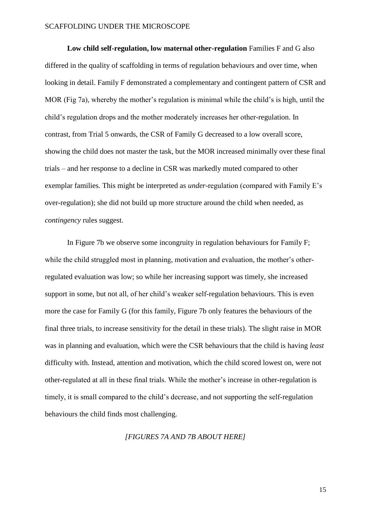Low child self-regulation, low maternal other-regulation Families F and G also differed in the quality of scaffolding in terms of regulation behaviours and over time, when looking in detail. Family F demonstrated a complementary and contingent pattern of CSR and MOR (Fig 7a), whereby the mother's regulation is minimal while the child's is high, until the child's regulation drops and the mother moderately increases her other-regulation. In contrast, from Trial 5 onwards, the CSR of Family G decreased to a low overall score, showing the child does not master the task, but the MOR increased minimally over these final trials – and her response to a decline in CSR was markedly muted compared to other exemplar families. This might be interpreted as *under*-regulation (compared with Family E's over-regulation); she did not build up more structure around the child when needed, as *contingency* rules suggest.

In Figure 7b we observe some incongruity in regulation behaviours for Family F; while the child struggled most in planning, motivation and evaluation, the mother's otherregulated evaluation was low; so while her increasing support was timely, she increased support in some, but not all, of her child's weaker self-regulation behaviours. This is even more the case for Family G (for this family, Figure 7b only features the behaviours of the final three trials, to increase sensitivity for the detail in these trials). The slight raise in MOR was in planning and evaluation, which were the CSR behaviours that the child is having *least*  difficulty with. Instead, attention and motivation, which the child scored lowest on, were not other-regulated at all in these final trials. While the mother's increase in other-regulation is timely, it is small compared to the child's decrease, and not supporting the self-regulation behaviours the child finds most challenging.

#### *[FIGURES 7A AND 7B ABOUT HERE]*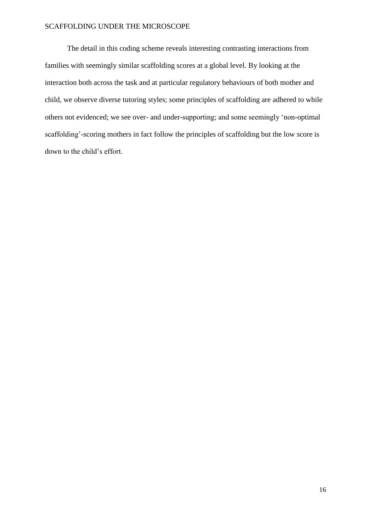The detail in this coding scheme reveals interesting contrasting interactions from families with seemingly similar scaffolding scores at a global level. By looking at the interaction both across the task and at particular regulatory behaviours of both mother and child, we observe diverse tutoring styles; some principles of scaffolding are adhered to while others not evidenced; we see over- and under-supporting; and some seemingly 'non-optimal scaffolding'-scoring mothers in fact follow the principles of scaffolding but the low score is down to the child's effort.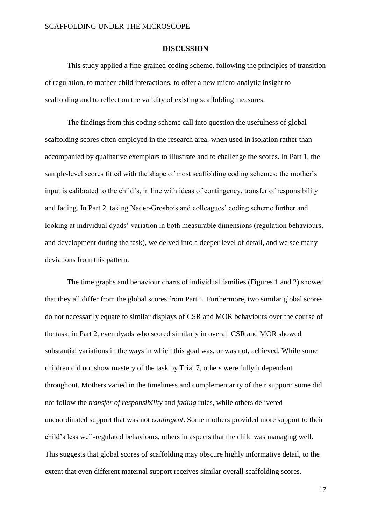#### **DISCUSSION**

This study applied a fine-grained coding scheme, following the principles of transition of regulation, to mother-child interactions, to offer a new micro-analytic insight to scaffolding and to reflect on the validity of existing scaffolding measures.

The findings from this coding scheme call into question the usefulness of global scaffolding scores often employed in the research area, when used in isolation rather than accompanied by qualitative exemplars to illustrate and to challenge the scores. In Part 1, the sample-level scores fitted with the shape of most scaffolding coding schemes: the mother's input is calibrated to the child's, in line with ideas of contingency, transfer of responsibility and fading. In Part 2, taking Nader-Grosbois and colleagues' coding scheme further and looking at individual dyads' variation in both measurable dimensions (regulation behaviours, and development during the task), we delved into a deeper level of detail, and we see many deviations from this pattern.

The time graphs and behaviour charts of individual families (Figures 1 and 2) showed that they all differ from the global scores from Part 1. Furthermore, two similar global scores do not necessarily equate to similar displays of CSR and MOR behaviours over the course of the task; in Part 2, even dyads who scored similarly in overall CSR and MOR showed substantial variations in the ways in which this goal was, or was not, achieved. While some children did not show mastery of the task by Trial 7, others were fully independent throughout. Mothers varied in the timeliness and complementarity of their support; some did not follow the *transfer of responsibility* and *fading* rules, while others delivered uncoordinated support that was not *contingent*. Some mothers provided more support to their child's less well-regulated behaviours, others in aspects that the child was managing well. This suggests that global scores of scaffolding may obscure highly informative detail, to the extent that even different maternal support receives similar overall scaffolding scores.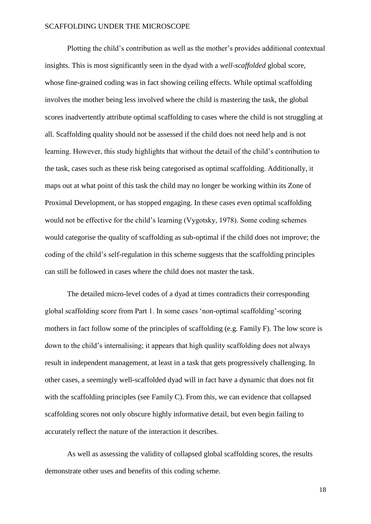Plotting the child's contribution as well as the mother's provides additional contextual insights. This is most significantly seen in the dyad with a *well-scaffolded* global score, whose fine-grained coding was in fact showing ceiling effects. While optimal scaffolding involves the mother being less involved where the child is mastering the task, the global scores inadvertently attribute optimal scaffolding to cases where the child is not struggling at all. Scaffolding quality should not be assessed if the child does not need help and is not learning. However, this study highlights that without the detail of the child's contribution to the task, cases such as these risk being categorised as optimal scaffolding. Additionally, it maps out at what point of this task the child may no longer be working within its Zone of Proximal Development, or has stopped engaging. In these cases even optimal scaffolding would not be effective for the child's learning (Vygotsky, 1978). Some coding schemes would categorise the quality of scaffolding as sub-optimal if the child does not improve; the coding of the child's self-regulation in this scheme suggests that the scaffolding principles can still be followed in cases where the child does not master the task.

The detailed micro-level codes of a dyad at times contradicts their corresponding global scaffolding score from Part 1. In some cases 'non-optimal scaffolding'-scoring mothers in fact follow some of the principles of scaffolding (e.g. Family F). The low score is down to the child's internalising; it appears that high quality scaffolding does not always result in independent management, at least in a task that gets progressively challenging. In other cases, a seemingly well-scaffolded dyad will in fact have a dynamic that does not fit with the scaffolding principles (see Family C). From this, we can evidence that collapsed scaffolding scores not only obscure highly informative detail, but even begin failing to accurately reflect the nature of the interaction it describes.

As well as assessing the validity of collapsed global scaffolding scores, the results demonstrate other uses and benefits of this coding scheme.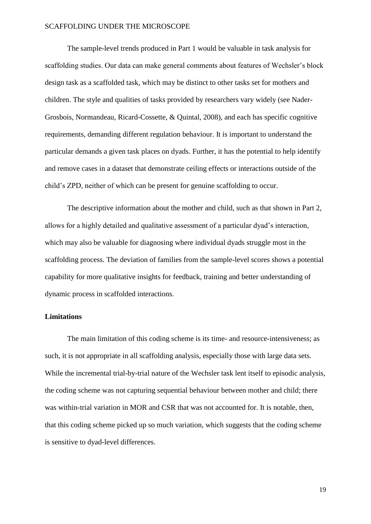The sample-level trends produced in Part 1 would be valuable in task analysis for scaffolding studies. Our data can make general comments about features of Wechsler's block design task as a scaffolded task, which may be distinct to other tasks set for mothers and children. The style and qualities of tasks provided by researchers vary widely (see Nader-Grosbois, Normandeau, Ricard-Cossette, & Quintal, 2008), and each has specific cognitive requirements, demanding different regulation behaviour. It is important to understand the particular demands a given task places on dyads. Further, it has the potential to help identify and remove cases in a dataset that demonstrate ceiling effects or interactions outside of the child's ZPD, neither of which can be present for genuine scaffolding to occur.

The descriptive information about the mother and child, such as that shown in Part 2, allows for a highly detailed and qualitative assessment of a particular dyad's interaction, which may also be valuable for diagnosing where individual dyads struggle most in the scaffolding process. The deviation of families from the sample-level scores shows a potential capability for more qualitative insights for feedback, training and better understanding of dynamic process in scaffolded interactions.

### **Limitations**

The main limitation of this coding scheme is its time- and resource-intensiveness; as such, it is not appropriate in all scaffolding analysis, especially those with large data sets. While the incremental trial-by-trial nature of the Wechsler task lent itself to episodic analysis, the coding scheme was not capturing sequential behaviour between mother and child; there was within-trial variation in MOR and CSR that was not accounted for. It is notable, then, that this coding scheme picked up so much variation, which suggests that the coding scheme is sensitive to dyad-level differences.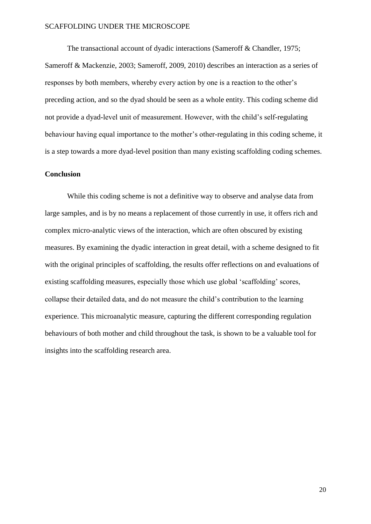The transactional account of dyadic interactions (Sameroff & Chandler, 1975; Sameroff & Mackenzie, 2003; Sameroff, 2009, 2010) describes an interaction as a series of responses by both members, whereby every action by one is a reaction to the other's preceding action, and so the dyad should be seen as a whole entity. This coding scheme did not provide a dyad-level unit of measurement. However, with the child's self-regulating behaviour having equal importance to the mother's other-regulating in this coding scheme, it is a step towards a more dyad-level position than many existing scaffolding coding schemes.

### **Conclusion**

While this coding scheme is not a definitive way to observe and analyse data from large samples, and is by no means a replacement of those currently in use, it offers rich and complex micro-analytic views of the interaction, which are often obscured by existing measures. By examining the dyadic interaction in great detail, with a scheme designed to fit with the original principles of scaffolding, the results offer reflections on and evaluations of existing scaffolding measures, especially those which use global 'scaffolding' scores, collapse their detailed data, and do not measure the child's contribution to the learning experience. This microanalytic measure, capturing the different corresponding regulation behaviours of both mother and child throughout the task, is shown to be a valuable tool for insights into the scaffolding research area.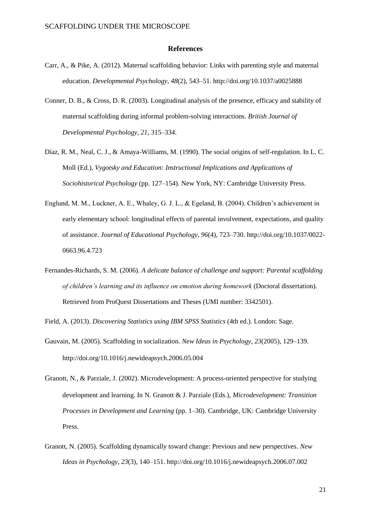#### **References**

- Carr, A., & Pike, A. (2012). Maternal scaffolding behavior: Links with parenting style and maternal education. *Developmental Psychology*, *48*(2), 543–51.<http://doi.org/10.1037/a0025888>
- Conner, D. B., & Cross, D. R. (2003). Longitudinal analysis of the presence, efficacy and stability of maternal scaffolding during informal problem-solving interactions. *British Journal of Developmental Psychology*, *21*, 315–334.
- Díaz, R. M., Neal, C. J., & Amaya-Williams, M. (1990). The social origins of self-regulation. In L. C. Moll (Ed.), *Vygotsky and Education: Instructional Implications and Applications of Sociohistorical Psychology* (pp. 127–154). New York, NY: Cambridge University Press.
- Englund, M. M., Luckner, A. E., Whaley, G. J. L., & Egeland, B. (2004). Children's achievement in early elementary school: longitudinal effects of parental involvement, expectations, and quality of assistance. *Journal of Educational Psychology*, *96*(4), 723–730.<http://doi.org/10.1037/0022-> 0663.96.4.723
- Fernandes-Richards, S. M. (2006). *A delicate balance of challenge and support: Parental scaffolding of children's learning and its influence on emotion during homework* (Doctoral dissertation). Retrieved from ProQuest Dissertations and Theses (UMI number: 3342501).
- Field, A. (2013). *Discovering Statistics using IBM SPSS Statistics* (4th ed.). London: Sage.
- Gauvain, M. (2005). Scaffolding in socialization. *New Ideas in Psychology*, *23*(2005), 129–139. <http://doi.org/10.1016/j.newideapsych.2006.05.004>
- Granott, N., & Parziale, J. (2002). Microdevelopment: A process-oriented perspective for studying development and learning. In N. Granott & J. Parziale (Eds.), *Microdevelopment: Transition Processes in Development and Learning* (pp. 1–30). Cambridge, UK: Cambridge University Press.
- Granott, N. (2005). Scaffolding dynamically toward change: Previous and new perspectives. *New Ideas in Psychology*, *23*(3), 140–151[. http://doi.org/10.1016/j.newideapsych.2006.07.002](http://doi.org/10.1016/j.newideapsych.2006.07.002)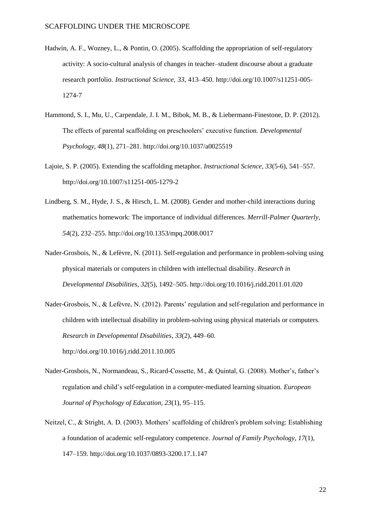- Hadwin, A. F., Wozney, L., & Pontin, O. (2005). Scaffolding the appropriation of self-regulatory activity: A socio-cultural analysis of changes in teacher–student discourse about a graduate research portfolio. *Instructional Science*, *33*, 413–450.<http://doi.org/10.1007/s11251-005-> 1274-7
- Hammond, S. I., Mu, U., Carpendale, J. I. M., Bibok, M. B., & Liebermann-Finestone, D. P. (2012). The effects of parental scaffolding on preschoolers' executive function. *Developmental Psychology*, *48*(1), 271–281.<http://doi.org/10.1037/a0025519>
- Lajoie, S. P. (2005). Extending the scaffolding metaphor. *Instructional Science*, *33*(5-6), 541–557. <http://doi.org/10.1007/s11251-005-1279-2>
- Lindberg, S. M., Hyde, J. S., & Hirsch, L. M. (2008). Gender and mother-child interactions during mathematics homework: The importance of individual differences. *Merrill-Palmer Quarterly*, *54*(2), 232–255[. http://doi.org/10.1353/mpq.2008.0017](http://doi.org/10.1353/mpq.2008.0017)
- Nader-Grosbois, N., & Lefèvre, N. (2011). Self-regulation and performance in problem-solving using physical materials or computers in children with intellectual disability. *Research in Developmental Disabilities*, *32*(5), 1492–505[. http://doi.org/10.1016/j.ridd.2011.01.020](http://doi.org/10.1016/j.ridd.2011.01.020)
- Nader-Grosbois, N., & Lefèvre, N. (2012). Parents' regulation and self-regulation and performance in children with intellectual disability in problem-solving using physical materials or computers. *Research in Developmental Disabilities*, *33*(2), 449–60. <http://doi.org/10.1016/j.ridd.2011.10.005>
- Nader-Grosbois, N., Normandeau, S., Ricard-Cossette, M., & Quintal, G. (2008). Mother's, father's regulation and child's self-regulation in a computer-mediated learning situation. *European Journal of Psychology of Education*, *23*(1), 95–115.
- Neitzel, C., & Stright, A. D. (2003). Mothers' scaffolding of children's problem solving: Establishing a foundation of academic self-regulatory competence. *Journal of Family Psychology*, *17*(1), 147–159.<http://doi.org/10.1037/0893-3200.17.1.147>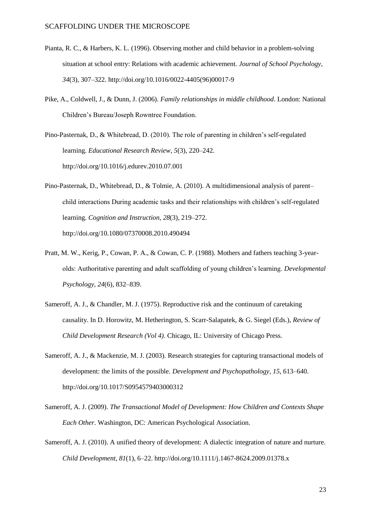- Pianta, R. C., & Harbers, K. L. (1996). Observing mother and child behavior in a problem-solving situation at school entry: Relations with academic achievement. *Journal of School Psychology*, *34*(3), 307–322[. http://doi.org/10.1016/0022-4405\(96\)00017-9](http://doi.org/10.1016/0022-4405(96)00017-9)
- Pike, A., Coldwell, J., & Dunn, J. (2006). *Family relationships in middle childhood*. London: National Children's Bureau/Joseph Rowntree Foundation.
- Pino-Pasternak, D., & Whitebread, D. (2010). The role of parenting in children's self-regulated learning. *Educational Research Review*, *5*(3), 220–242. <http://doi.org/10.1016/j.edurev.2010.07.001>
- Pino-Pasternak, D., Whitebread, D., & Tolmie, A. (2010). A multidimensional analysis of parent– child interactions During academic tasks and their relationships with children's self-regulated learning. *Cognition and Instruction*, *28*(3), 219–272. <http://doi.org/10.1080/07370008.2010.490494>
- Pratt, M. W., Kerig, P., Cowan, P. A., & Cowan, C. P. (1988). Mothers and fathers teaching 3-yearolds: Authoritative parenting and adult scaffolding of young children's learning. *Developmental Psychology*, *24*(6), 832–839.
- Sameroff, A. J., & Chandler, M. J. (1975). Reproductive risk and the continuum of caretaking causality. In D. Horowitz, M. Hetherington, S. Scarr-Salapatek, & G. Siegel (Eds.), *Review of Child Development Research (Vol 4)*. Chicago, IL: University of Chicago Press.
- Sameroff, A. J., & Mackenzie, M. J. (2003). Research strategies for capturing transactional models of development: the limits of the possible. *Development and Psychopathology*, *15*, 613–640. <http://doi.org/10.1017/S0954579403000312>
- Sameroff, A. J. (2009). *The Transactional Model of Development: How Children and Contexts Shape Each Other*. Washington, DC: American Psychological Association.
- Sameroff, A. J. (2010). A unified theory of development: A dialectic integration of nature and nurture. *Child Development*, *81*(1), 6–22.<http://doi.org/10.1111/j.1467-8624.2009.01378.x>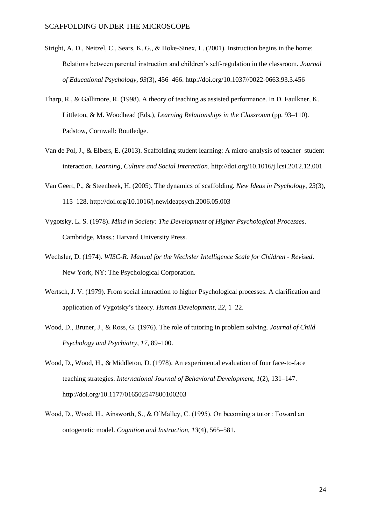- Stright, A. D., Neitzel, C., Sears, K. G., & Hoke-Sinex, L. (2001). Instruction begins in the home: Relations between parental instruction and children's self-regulation in the classroom. *Journal of Educational Psychology*, *93*(3), 456–466[. http://doi.org/10.1037//0022-0663.93.3.456](http://doi.org/10.1037/0022-0663.93.3.456)
- Tharp, R., & Gallimore, R. (1998). A theory of teaching as assisted performance. In D. Faulkner, K. Littleton, & M. Woodhead (Eds.), *Learning Relationships in the Classroom* (pp. 93–110). Padstow, Cornwall: Routledge.
- Van de Pol, J., & Elbers, E. (2013). Scaffolding student learning: A micro-analysis of teacher–student interaction. *Learning, Culture and Social Interaction*.<http://doi.org/10.1016/j.lcsi.2012.12.001>
- Van Geert, P., & Steenbeek, H. (2005). The dynamics of scaffolding. *New Ideas in Psychology*, *23*(3), 115–128.<http://doi.org/10.1016/j.newideapsych.2006.05.003>
- Vygotsky, L. S. (1978). *Mind in Society: The Development of Higher Psychological Processes*. Cambridge, Mass.: Harvard University Press.
- Wechsler, D. (1974). *WISC-R: Manual for the Wechsler Intelligence Scale for Children - Revised*. New York, NY: The Psychological Corporation.
- Wertsch, J. V. (1979). From social interaction to higher Psychological processes: A clarification and application of Vygotsky's theory. *Human Development*, *22*, 1–22.
- Wood, D., Bruner, J., & Ross, G. (1976). The role of tutoring in problem solving. *Journal of Child Psychology and Psychiatry*, *17*, 89–100.
- Wood, D., Wood, H., & Middleton, D. (1978). An experimental evaluation of four face-to-face teaching strategies. *International Journal of Behavioral Development*, *1*(2), 131–147. <http://doi.org/10.1177/016502547800100203>
- Wood, D., Wood, H., Ainsworth, S., & O'Malley, C. (1995). On becoming a tutor : Toward an ontogenetic model. *Cognition and Instruction*, *13*(4), 565–581.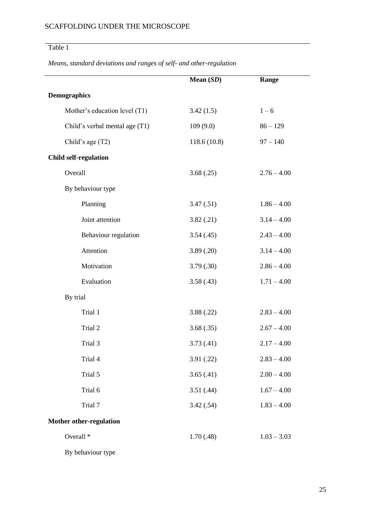# Table 1

*Means, standard deviations and ranges of self- and other-regulation*

|                                | Mean $(SD)$ | Range         |
|--------------------------------|-------------|---------------|
| <b>Demographics</b>            |             |               |
| Mother's education level (T1)  | 3.42(1.5)   | $1 - 6$       |
| Child's verbal mental age (T1) | 109(9.0)    | $86 - 129$    |
| Child's age (T2)               | 118.6(10.8) | $97 - 140$    |
| <b>Child self-regulation</b>   |             |               |
| Overall                        | 3.68(.25)   | $2.76 - 4.00$ |
| By behaviour type              |             |               |
| Planning                       | 3.47(.51)   | $1.86 - 4.00$ |
| Joint attention                | 3.82(.21)   | $3.14 - 4.00$ |
| Behaviour regulation           | 3.54(0.45)  | $2.43 - 4.00$ |
| Attention                      | 3.89(.20)   | $3.14 - 4.00$ |
| Motivation                     | 3.79(.30)   | $2.86 - 4.00$ |
| Evaluation                     | 3.58(.43)   | $1.71 - 4.00$ |
| By trial                       |             |               |
| Trial 1                        | 3.88(.22)   | $2.83 - 4.00$ |
| Trial 2                        | 3.68(.35)   | $2.67 - 4.00$ |
| Trial 3                        | 3.73(0.41)  | $2.17 - 4.00$ |
| Trial 4                        | 3.91(.22)   | $2.83 - 4.00$ |
| Trial 5                        | 3.65(.41)   | $2.00 - 4.00$ |
| Trial 6                        | 3.51(.44)   | $1.67 - 4.00$ |
| Trial 7                        | 3.42(.54)   | $1.83 - 4.00$ |
| <b>Mother other-regulation</b> |             |               |
| Overall <sup>*</sup>           | 1.70(.48)   | $1.03 - 3.03$ |
|                                |             |               |

By behaviour type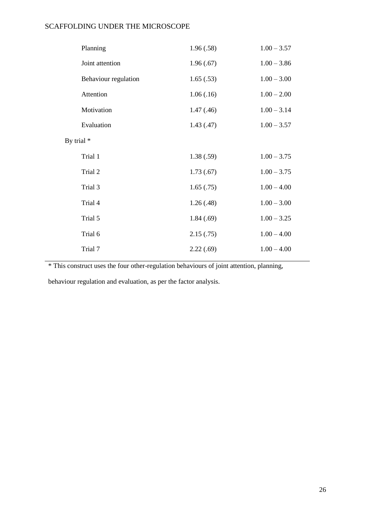| Planning             | 1.96(.58)  | $1.00 - 3.57$ |
|----------------------|------------|---------------|
| Joint attention      | 1.96(.67)  | $1.00 - 3.86$ |
| Behaviour regulation | 1.65(.53)  | $1.00 - 3.00$ |
| Attention            | 1.06(.16)  | $1.00 - 2.00$ |
| Motivation           | 1.47(0.46) | $1.00 - 3.14$ |
| Evaluation           | 1.43(0.47) | $1.00 - 3.57$ |
| By trial *           |            |               |
| Trial 1              | 1.38(.59)  | $1.00 - 3.75$ |
| Trial 2              | 1.73(0.67) | $1.00 - 3.75$ |
| Trial 3              | 1.65(.75)  | $1.00 - 4.00$ |
| Trial 4              | 1.26(.48)  | $1.00 - 3.00$ |
| Trial 5              | 1.84(.69)  | $1.00 - 3.25$ |
| Trial 6              | 2.15(.75)  | $1.00 - 4.00$ |
| Trial 7              | 2.22(.69)  | $1.00 - 4.00$ |

\* This construct uses the four other-regulation behaviours of joint attention, planning,

behaviour regulation and evaluation, as per the factor analysis.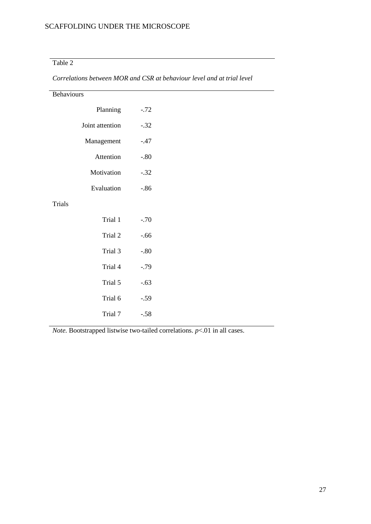## Table 2

| Behaviours      |         |  |  |
|-----------------|---------|--|--|
| Planning        | $-.72$  |  |  |
| Joint attention | $-.32$  |  |  |
| Management      | $-.47$  |  |  |
| Attention       | $-.80$  |  |  |
| Motivation      | $-.32$  |  |  |
| Evaluation      | $-86$   |  |  |
| Trials          |         |  |  |
| Trial 1         | $-.70$  |  |  |
| Trial 2         | $-0.66$ |  |  |
| Trial 3         | $-.80$  |  |  |
| Trial 4         | $-.79$  |  |  |
| Trial 5         | $-.63$  |  |  |
| Trial 6         | $-.59$  |  |  |
| Trial 7         | $-.58$  |  |  |

*Correlations between MOR and CSR at behaviour level and at trial level*

*Note.* Bootstrapped listwise two-tailed correlations. *p*<.01 in all cases.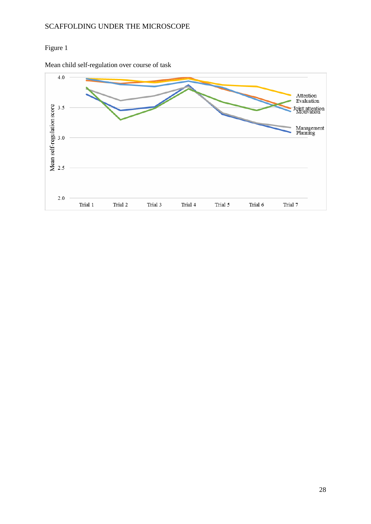## Figure 1



Mean child self-regulation over course of task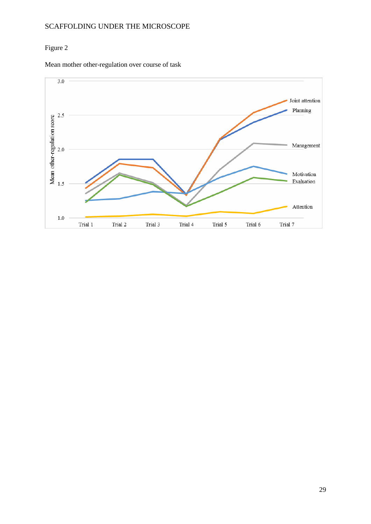### Figure 2

Mean mother other-regulation over course of task

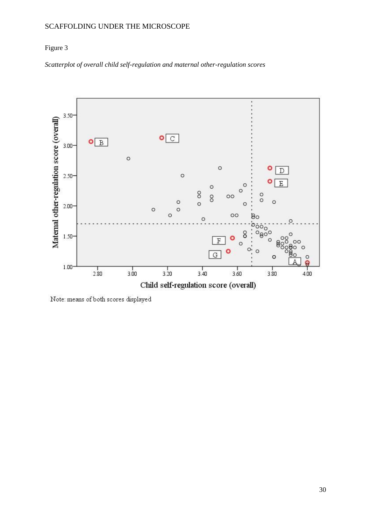### Figure 3

*Scatterplot of overall child self-regulation and maternal other-regulation scores*



Note: means of both scores displayed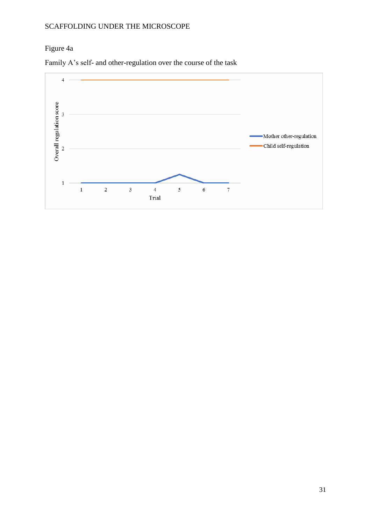## Figure 4a



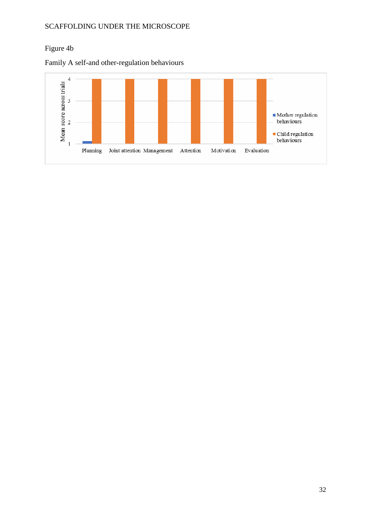## Figure 4b

Family A self-and other-regulation behaviours

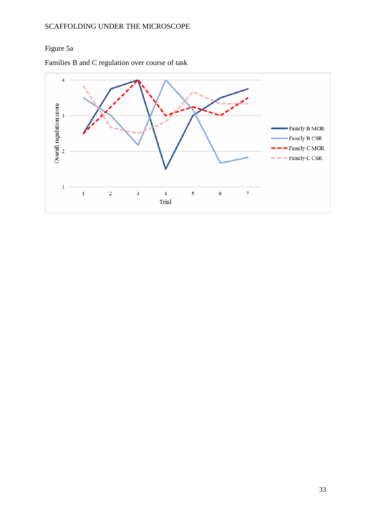# Figure 5a

Families B and C regulation over course of task

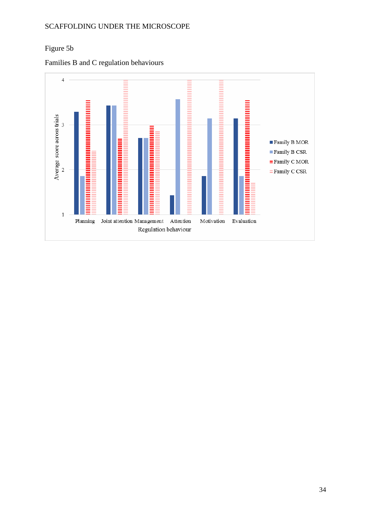## Figure 5b

Families B and C regulation behaviours

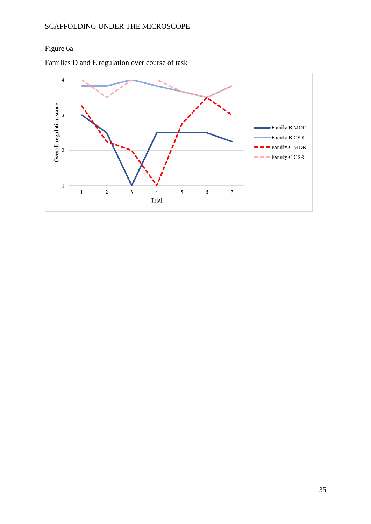# Figure 6a

Families D and E regulation over course of task

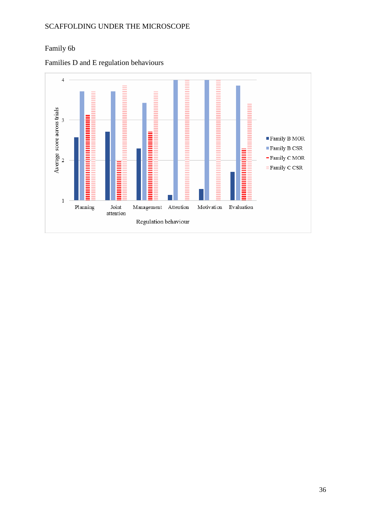## Family 6b

Families D and E regulation behaviours

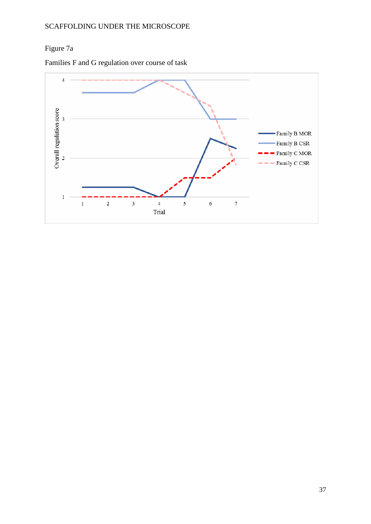# Figure 7a

Families F and G regulation over course of task